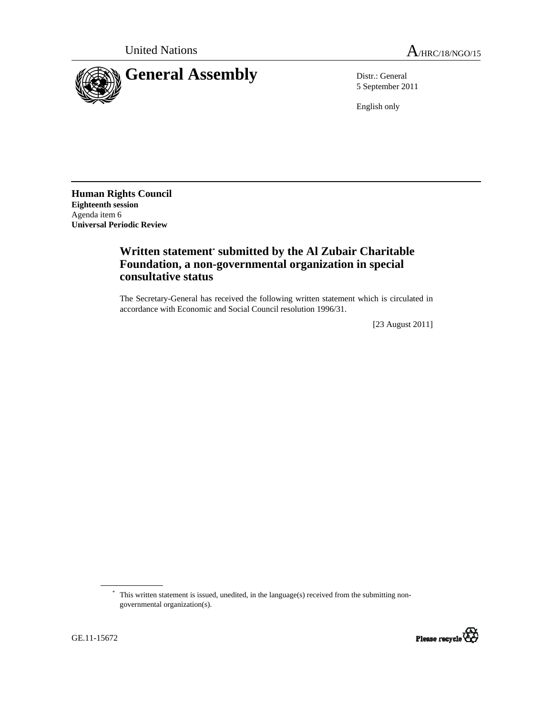

5 September 2011

English only

**Human Rights Council Eighteenth session**  Agenda item 6 **Universal Periodic Review** 

## **Written statement\* submitted by the Al Zubair Charitable Foundation, a non-governmental organization in special consultative status**

The Secretary-General has received the following written statement which is circulated in accordance with Economic and Social Council resolution 1996/31.

[23 August 2011]

<sup>\*</sup> This written statement is issued, unedited, in the language(s) received from the submitting nongovernmental organization(s).